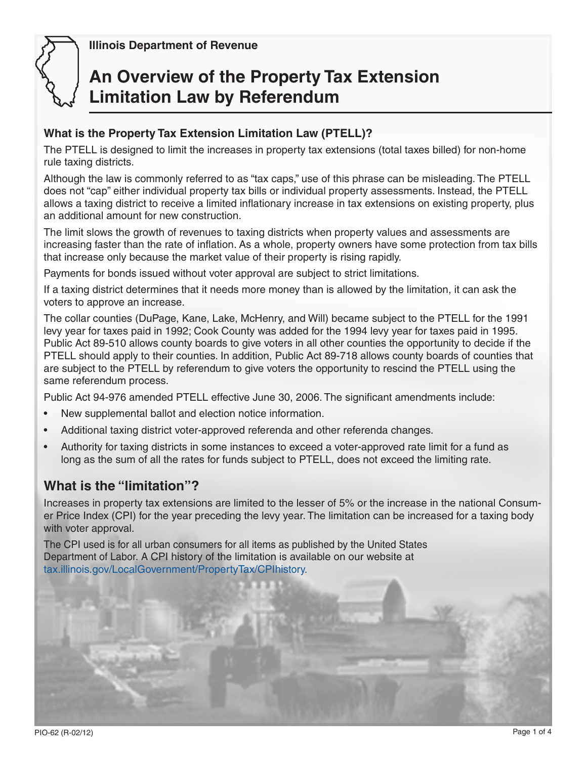

 **Illinois Department of Revenue**

# **An Overview of the Property Tax Extension Limitation Law by Referendum**

#### **What is the Property Tax Extension Limitation Law (PTELL)?**

The PTELL is designed to limit the increases in property tax extensions (total taxes billed) for non-home rule taxing districts.

Although the law is commonly referred to as "tax caps," use of this phrase can be misleading. The PTELL does not "cap" either individual property tax bills or individual property assessments. Instead, the PTELL allows a taxing district to receive a limited inflationary increase in tax extensions on existing property, plus an additional amount for new construction.

The limit slows the growth of revenues to taxing districts when property values and assessments are increasing faster than the rate of inflation. As a whole, property owners have some protection from tax bills that increase only because the market value of their property is rising rapidly.

Payments for bonds issued without voter approval are subject to strict limitations.

If a taxing district determines that it needs more money than is allowed by the limitation, it can ask the voters to approve an increase.

The collar counties (DuPage, Kane, Lake, McHenry, and Will) became subject to the PTELL for the 1991 levy year for taxes paid in 1992; Cook County was added for the 1994 levy year for taxes paid in 1995. Public Act 89-510 allows county boards to give voters in all other counties the opportunity to decide if the PTELL should apply to their counties. In addition, Public Act 89-718 allows county boards of counties that are subject to the PTELL by referendum to give voters the opportunity to rescind the PTELL using the same referendum process.

Public Act 94-976 amended PTELL effective June 30, 2006. The significant amendments include:

- New supplemental ballot and election notice information.
- Additional taxing district voter-approved referenda and other referenda changes.
- Authority for taxing districts in some instances to exceed a voter-approved rate limit for a fund as long as the sum of all the rates for funds subject to PTELL, does not exceed the limiting rate.

# **What is the "limitation"?**

Increases in property tax extensions are limited to the lesser of 5% or the increase in the national Consumer Price Index (CPI) for the year preceding the levy year. The limitation can be increased for a taxing body with voter approval.

The CPI used is for all urban consumers for all items as published by the United States Department of Labor. A CPI history of the limitation is available on our website at tax.illinois.gov/LocalGovernment/PropertyTax/CPIhistory.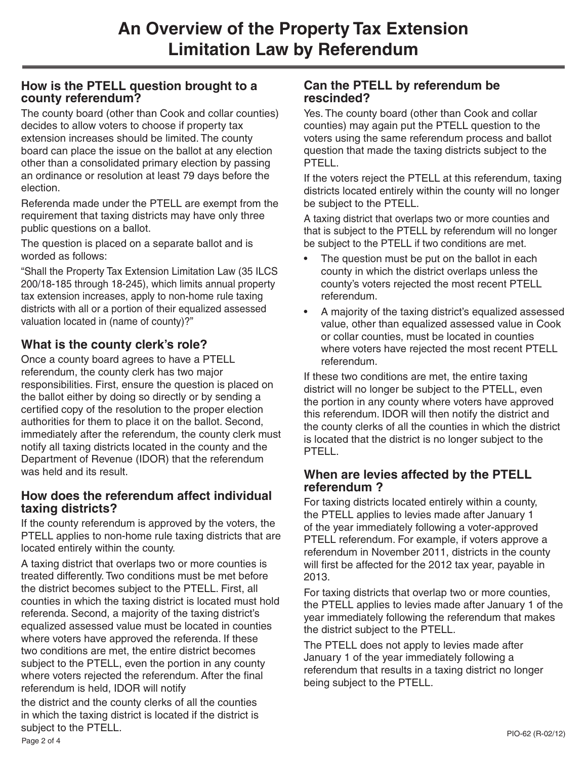## **How is the PTELL question brought to a county referendum?**

The county board (other than Cook and collar counties) decides to allow voters to choose if property tax extension increases should be limited. The county board can place the issue on the ballot at any election other than a consolidated primary election by passing an ordinance or resolution at least 79 days before the election.

Referenda made under the PTELL are exempt from the requirement that taxing districts may have only three public questions on a ballot.

The question is placed on a separate ballot and is worded as follows:

"Shall the Property Tax Extension Limitation Law (35 ILCS 200/18-185 through 18-245), which limits annual property tax extension increases, apply to non-home rule taxing districts with all or a portion of their equalized assessed valuation located in (name of county)?"

# **What is the county clerk's role?**

Once a county board agrees to have a PTELL referendum, the county clerk has two major responsibilities. First, ensure the question is placed on the ballot either by doing so directly or by sending a certified copy of the resolution to the proper election authorities for them to place it on the ballot. Second, immediately after the referendum, the county clerk must notify all taxing districts located in the county and the Department of Revenue (IDOR) that the referendum was held and its result.

#### **How does the referendum affect individual taxing districts?**

If the county referendum is approved by the voters, the PTELL applies to non-home rule taxing districts that are located entirely within the county.

A taxing district that overlaps two or more counties is treated differently. Two conditions must be met before the district becomes subject to the PTELL. First, all counties in which the taxing district is located must hold referenda. Second, a majority of the taxing district's equalized assessed value must be located in counties where voters have approved the referenda. If these two conditions are met, the entire district becomes subject to the PTELL, even the portion in any county where voters rejected the referendum. After the final referendum is held, IDOR will notify

the district and the county clerks of all the counties in which the taxing district is located if the district is subject to the PTELL. PIO-62 (R-02/12) PIO-62 (R-02/12) PIO-62 (R-02/12)

## **Can the PTELL by referendum be rescinded?**

Yes. The county board (other than Cook and collar counties) may again put the PTELL question to the voters using the same referendum process and ballot question that made the taxing districts subject to the PTELL.

If the voters reject the PTELL at this referendum, taxing districts located entirely within the county will no longer be subject to the PTELL.

A taxing district that overlaps two or more counties and that is subject to the PTELL by referendum will no longer be subject to the PTELL if two conditions are met.

- The question must be put on the ballot in each county in which the district overlaps unless the county's voters rejected the most recent PTELL referendum.
- A majority of the taxing district's equalized assessed value, other than equalized assessed value in Cook or collar counties, must be located in counties where voters have rejected the most recent PTELL referendum.

If these two conditions are met, the entire taxing district will no longer be subject to the PTELL, even the portion in any county where voters have approved this referendum. IDOR will then notify the district and the county clerks of all the counties in which the district is located that the district is no longer subject to the PTELL.

#### **When are levies affected by the PTELL referendum ?**

For taxing districts located entirely within a county, the PTELL applies to levies made after January 1 of the year immediately following a voter-approved PTELL referendum. For example, if voters approve a referendum in November 2011, districts in the county will first be affected for the 2012 tax year, payable in 2013.

For taxing districts that overlap two or more counties, the PTELL applies to levies made after January 1 of the year immediately following the referendum that makes the district subject to the PTELL.

The PTELL does not apply to levies made after January 1 of the year immediately following a referendum that results in a taxing district no longer being subject to the PTELL.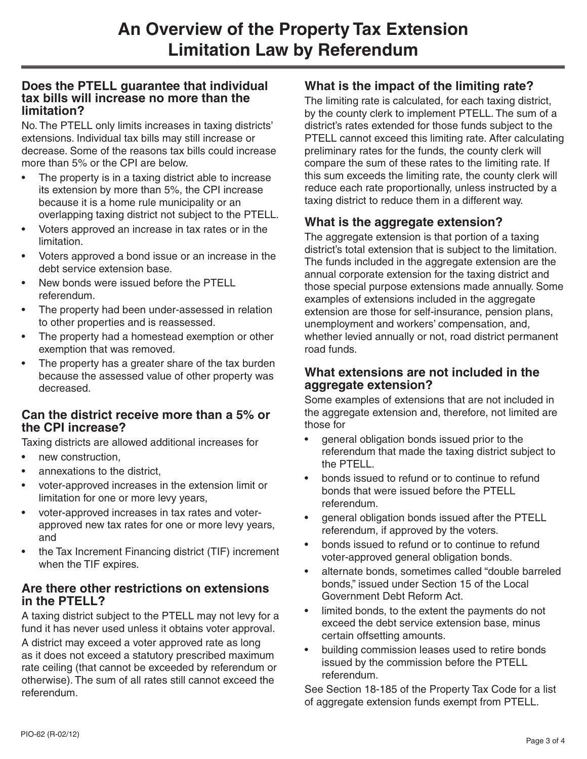#### **Does the PTELL guarantee that individual tax bills will increase no more than the limitation?**

No. The PTELL only limits increases in taxing districts' extensions. Individual tax bills may still increase or decrease. Some of the reasons tax bills could increase more than 5% or the CPI are below.

- The property is in a taxing district able to increase its extension by more than 5%, the CPI increase because it is a home rule municipality or an overlapping taxing district not subject to the PTELL.
- Voters approved an increase in tax rates or in the limitation.
- Voters approved a bond issue or an increase in the debt service extension base.
- New bonds were issued before the PTELL referendum.
- The property had been under-assessed in relation to other properties and is reassessed.
- The property had a homestead exemption or other exemption that was removed.
- The property has a greater share of the tax burden because the assessed value of other property was decreased.

#### **Can the district receive more than a 5% or the CPI increase?**

Taxing districts are allowed additional increases for

- new construction,
- annexations to the district,
- voter-approved increases in the extension limit or limitation for one or more levy years,
- voter-approved increases in tax rates and voterapproved new tax rates for one or more levy years, and
- the Tax Increment Financing district (TIF) increment when the TIF expires.

#### **Are there other restrictions on extensions in the PTELL?**

A taxing district subject to the PTELL may not levy for a fund it has never used unless it obtains voter approval.

A district may exceed a voter approved rate as long as it does not exceed a statutory prescribed maximum rate ceiling (that cannot be exceeded by referendum or otherwise). The sum of all rates still cannot exceed the referendum.

## **What is the impact of the limiting rate?**

The limiting rate is calculated, for each taxing district, by the county clerk to implement PTELL. The sum of a district's rates extended for those funds subject to the PTELL cannot exceed this limiting rate. After calculating preliminary rates for the funds, the county clerk will compare the sum of these rates to the limiting rate. If this sum exceeds the limiting rate, the county clerk will reduce each rate proportionally, unless instructed by a taxing district to reduce them in a different way.

## **What is the aggregate extension?**

The aggregate extension is that portion of a taxing district's total extension that is subject to the limitation. The funds included in the aggregate extension are the annual corporate extension for the taxing district and those special purpose extensions made annually. Some examples of extensions included in the aggregate extension are those for self-insurance, pension plans, unemployment and workers' compensation, and, whether levied annually or not, road district permanent road funds.

#### **What extensions are not included in the aggregate extension?**

Some examples of extensions that are not included in the aggregate extension and, therefore, not limited are those for

- general obligation bonds issued prior to the referendum that made the taxing district subject to the PTELL.
- bonds issued to refund or to continue to refund bonds that were issued before the PTELL referendum.
- general obligation bonds issued after the PTELL referendum, if approved by the voters.
- bonds issued to refund or to continue to refund voter-approved general obligation bonds.
- alternate bonds, sometimes called "double barreled bonds," issued under Section 15 of the Local Government Debt Reform Act.
- limited bonds, to the extent the payments do not exceed the debt service extension base, minus certain offsetting amounts.
- building commission leases used to retire bonds issued by the commission before the PTELL referendum.

See Section 18-185 of the Property Tax Code for a list of aggregate extension funds exempt from PTELL.